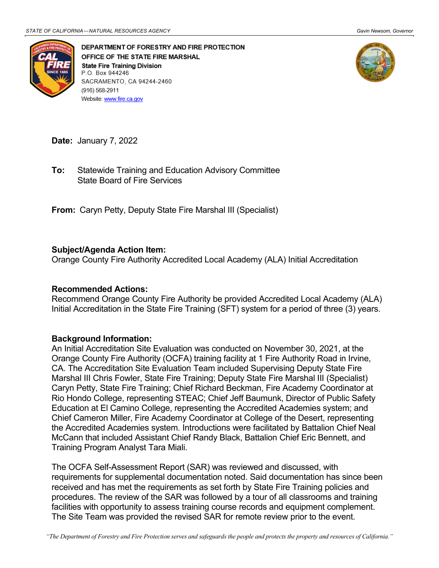

DEPARTMENT OF FORESTRY AND FIRE PROTECTION OFFICE OF THE STATE FIRE MARSHAL **State Fire Training Division** P.O. Box 944246 SACRAMENTO, CA 94244-2460 (916) 568-2911 Website: www.fire.ca.gov



**Date:** January 7, 2022

 State Board of Fire Services **To:** Statewide Training and Education Advisory Committee

 **From:** Caryn Petty, Deputy State Fire Marshal III (Specialist)

## **Subject/Agenda Action Item:**

Orange County Fire Authority Accredited Local Academy (ALA) Initial Accreditation

## **Recommended Actions:**

 Initial Accreditation in the State Fire Training (SFT) system for a period of three (3) years. Recommend Orange County Fire Authority be provided Accredited Local Academy (ALA)

## **Background Information:**

 An Initial Accreditation Site Evaluation was conducted on November 30, 2021, at the CA. The Accreditation Site Evaluation Team included Supervising Deputy State Fire Marshal III Chris Fowler, State Fire Training; Deputy State Fire Marshal III (Specialist) Caryn Petty, State Fire Training; Chief Richard Beckman, Fire Academy Coordinator at Education at El Camino College, representing the Accredited Academies system; and Orange County Fire Authority (OCFA) training facility at 1 Fire Authority Road in Irvine, Rio Hondo College, representing STEAC; Chief Jeff Baumunk, Director of Public Safety Chief Cameron Miller, Fire Academy Coordinator at College of the Desert, representing the Accredited Academies system. Introductions were facilitated by Battalion Chief Neal McCann that included Assistant Chief Randy Black, Battalion Chief Eric Bennett, and Training Program Analyst Tara Miali.

 The OCFA Self-Assessment Report (SAR) was reviewed and discussed, with received and has met the requirements as set forth by State Fire Training policies and procedures. The review of the SAR was followed by a tour of all classrooms and training requirements for supplemental documentation noted. Said documentation has since been facilities with opportunity to assess training course records and equipment complement. The Site Team was provided the revised SAR for remote review prior to the event.